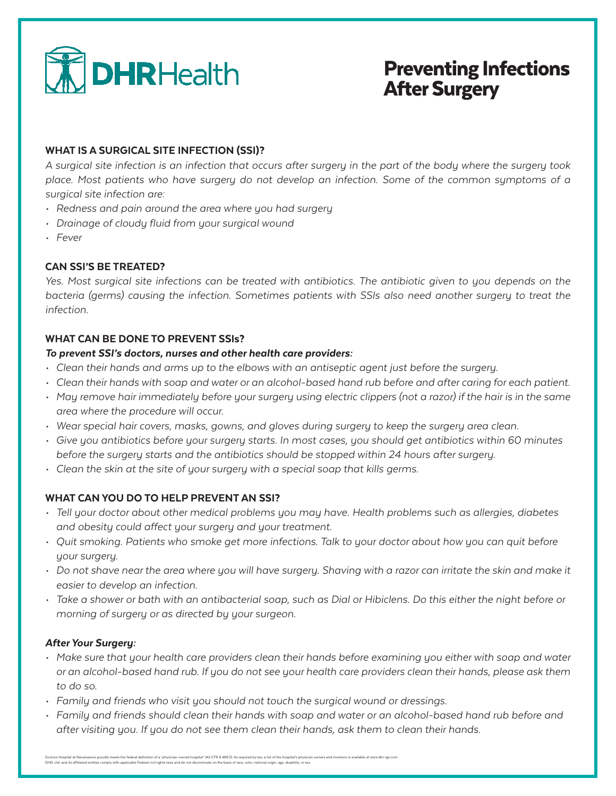

# Preventing Infections After Surgery

### WHAT IS A SURGICAL SITE INFECTION (SSI)?

*A surgical site infection is an infection that occurs after surgery in the part of the body where the surgery took place. Most patients who have surgery do not develop an infection. Some of the common symptoms of a surgical site infection are:*

- *• Redness and pain around the area where you had surgery*
- *• Drainage of cloudy fluid from your surgical wound*
- *• Fever*

## CAN SSI'S BE TREATED?

*Yes. Most surgical site infections can be treated with antibiotics. The antibiotic given to you depends on the bacteria (germs) causing the infection. Sometimes patients with SSIs also need another surgery to treat the infection.*

#### WHAT CAN BE DONE TO PREVENT SSIs?

#### *To prevent SSI's doctors, nurses and other health care providers:*

- *• Clean their hands and arms up to the elbows with an antiseptic agent just before the surgery.*
- *• Clean their hands with soap and water or an alcohol-based hand rub before and after caring for each patient.*
- *• May remove hair immediately before your surgery using electric clippers (not a razor) if the hair is in the same area where the procedure will occur.*
- *• Wear special hair covers, masks, gowns, and gloves during surgery to keep the surgery area clean.*
- *• Give you antibiotics before your surgery starts. In most cases, you should get antibiotics within 60 minutes before the surgery starts and the antibiotics should be stopped within 24 hours after surgery.*
- *• Clean the skin at the site of your surgery with a special soap that kills germs.*

#### WHAT CAN YOU DO TO HELP PREVENT AN SSI?

- *• Tell your doctor about other medical problems you may have. Health problems such as allergies, diabetes and obesity could affect your surgery and your treatment.*
- *• Quit smoking. Patients who smoke get more infections. Talk to your doctor about how you can quit before your surgery.*
- *• Do not shave near the area where you will have surgery. Shaving with a razor can irritate the skin and make it easier to develop an infection.*
- *• Take a shower or bath with an antibacterial soap, such as Dial or Hibiclens. Do this either the night before or morning of surgery or as directed by your surgeon.*

#### *After Your Surgery:*

- *• Make sure that your health care providers clean their hands before examining you either with soap and water or an alcohol-based hand rub. If you do not see your health care providers clean their hands, please ask them to do so.*
- *• Family and friends who visit you should not touch the surgical wound or dressings.*
- *• Family and friends should clean their hands with soap and water or an alcohol-based hand rub before and after visiting you. If you do not see them clean their hands, ask them to clean their hands.*